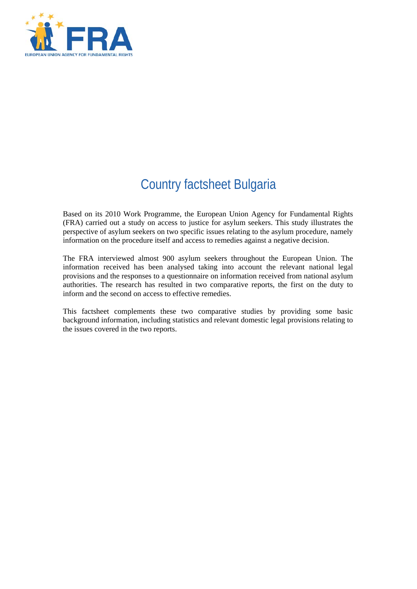

# Country factsheet Bulgaria

Based on its 2010 Work Programme, the European Union Agency for Fundamental Rights (FRA) carried out a study on access to justice for asylum seekers. This study illustrates the perspective of asylum seekers on two specific issues relating to the asylum procedure, namely information on the procedure itself and access to remedies against a negative decision.

The FRA interviewed almost 900 asylum seekers throughout the European Union. The information received has been analysed taking into account the relevant national legal provisions and the responses to a questionnaire on information received from national asylum authorities. The research has resulted in two comparative reports, the first on the duty to inform and the second on access to effective remedies.

This factsheet complements these two comparative studies by providing some basic background information, including statistics and relevant domestic legal provisions relating to the issues covered in the two reports.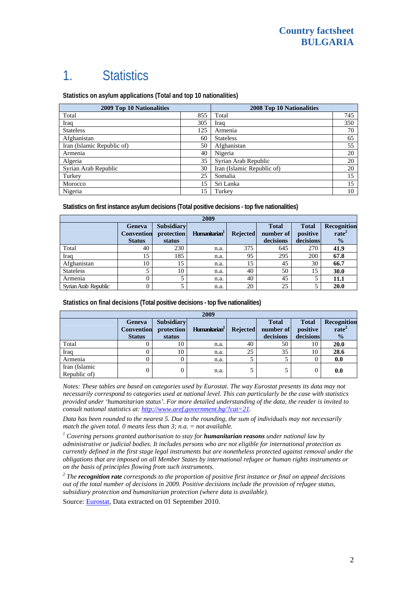# 1. Statistics

**Statistics on asylum applications (Total and top 10 nationalities)**

| <b>2009 Top 10 Nationalities</b> | 2008 Top 10 Nationalities |                            |     |
|----------------------------------|---------------------------|----------------------------|-----|
| Total                            | 855                       | Total                      | 745 |
| Iraq                             | 305                       | Iraq                       | 350 |
| <b>Stateless</b>                 | 125                       | Armenia                    | 70  |
| Afghanistan                      | 60                        | <b>Stateless</b>           | 65  |
| Iran (Islamic Republic of)       | 50                        | Afghanistan                | 55  |
| Armenia                          | 40                        | Nigeria                    | 20  |
| Algeria                          | 35                        | Syrian Arab Republic       | 20  |
| Syrian Arab Republic             | 30                        | Iran (Islamic Republic of) | 20  |
| Turkey                           | 25                        | Somalia                    | 15  |
| Morocco                          | 15                        | Sri Lanka                  | 15  |
| Nigeria                          | 15                        | Turkey                     | 10  |

**Statistics on first instance asylum decisions (Total positive decisions - top five nationalities)**

| 2009                 |                                              |                                           |                           |                 |                                        |                                       |                                                   |
|----------------------|----------------------------------------------|-------------------------------------------|---------------------------|-----------------|----------------------------------------|---------------------------------------|---------------------------------------------------|
|                      | Geneva<br><b>Convention</b><br><b>Status</b> | <b>Subsidiary</b><br>protection<br>status | Humanitarian <sup>1</sup> | <b>Rejected</b> | <b>Total</b><br>number of<br>decisions | <b>Total</b><br>positive<br>decisions | Recognition<br>rate <sup>2</sup><br>$\frac{0}{2}$ |
| Total                | 40                                           | 230                                       | n.a.                      | 375             | 645                                    | 270                                   | 41.9                                              |
| Iraq                 | 15                                           | 185                                       | n.a.                      | 95              | 295                                    | 200                                   | 67.8                                              |
| Afghanistan          | 10                                           | 15                                        | n.a.                      | 15              | 45                                     | 30                                    | 66.7                                              |
| <b>Stateless</b>     |                                              | 10                                        | n.a.                      | 40              | 50                                     | 15                                    | 30.0                                              |
| Armenia              | 0                                            |                                           | n.a.                      | 40              | 45                                     |                                       | 11.1                                              |
| Syrian Arab Republic | 0                                            |                                           | n.a.                      | 20              | 25                                     |                                       | 20.0                                              |

**Statistics on final decisions (Total positive decisions - top five nationalities)** 

| 2009                          |                                              |                                           |                           |                 |                                        |                                       |                                                   |
|-------------------------------|----------------------------------------------|-------------------------------------------|---------------------------|-----------------|----------------------------------------|---------------------------------------|---------------------------------------------------|
|                               | Geneva<br><b>Convention</b><br><b>Status</b> | <b>Subsidiary</b><br>protection<br>status | Humanitarian <sup>1</sup> | <b>Rejected</b> | <b>Total</b><br>number of<br>decisions | <b>Total</b><br>positive<br>decisions | Recognition<br>rate <sup>2</sup><br>$\frac{0}{0}$ |
| Total                         |                                              | 10                                        | n.a.                      | 40              | 50                                     | 10                                    | 20.0                                              |
| Iraq                          |                                              | 10                                        | n.a.                      | 25              | 35                                     | 10                                    | 28.6                                              |
| Armenia                       |                                              |                                           | n.a.                      |                 |                                        |                                       | 0.0                                               |
| Iran (Islamic<br>Republic of) | 0                                            |                                           | n.a.                      |                 |                                        | 0                                     | 0.0                                               |

*Notes: These tables are based on categories used by Eurostat. The way Eurostat presents its data may not necessarily correspond to categories used at national level. This can particularly be the case with statistics provided under 'humanitarian status'. For more detailed understanding of the data, the reader is invited to consult national statistics at:<http://www.aref.government.bg/?cat=21>.* 

*Data has been rounded to the nearest 5. Due to the rounding, the sum of individuals may not necessarily match the given total. 0 means less than 3; n.a. = not available.* 

<sup>1</sup> Covering persons granted authorisation to stay for **humanitarian reasons** under national law by *administrative or judicial bodies. It includes persons who are not eligible for international protection as currently defined in the first stage legal instruments but are nonetheless protected against removal under the obligations that are imposed on all Member States by international refugee or human rights instruments or on the basis of principles flowing from such instruments.* 

*2 The recognition rate corresponds to the proportion of positive first instance or final on appeal decisions out of the total number of decisions in 2009. Positive decisions include the provision of refugee status, subsidiary protection and humanitarian protection (where data is available).* 

Source: [Eurostat](http://epp.eurostat.ec.europa.eu/), Data extracted on 01 September 2010.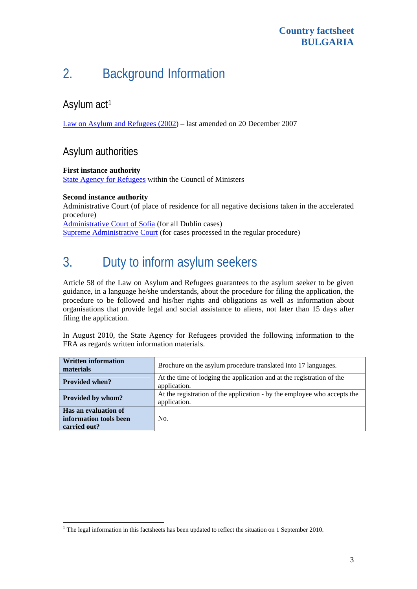# 2. Background Information

### Asylum act<sup>[1](#page-2-0)</sup>

[Law on Asylum and Refugees \(2002\)](http://www.aref.government.bg/docs/ZUB-TRC-2007-1181.doc) – last amended on 20 December 2007

### Asylum authorities

#### **First instance authority**

[State Agency for Refugees](http://www.aref.government.bg/?cat=2) within the Council of Ministers

#### **Second instance authority**

l

Administrative Court (of place of residence for all negative decisions taken in the accelerated procedure) [Administrative Court of Sofia](http://www.admincourtsofia.bg/) (for all Dublin cases)

[Supreme Administrative Court](http://www.sac.government.bg/home.nsf/0/3EBE219AC24B53B7C2256FC60035C881?OpenDocument) (for cases processed in the regular procedure)

# 3. Duty to inform asylum seekers

Article 58 of the Law on Asylum and Refugees guarantees to the asylum seeker to be given guidance, in a language he/she understands, about the procedure for filing the application, the procedure to be followed and his/her rights and obligations as well as information about organisations that provide legal and social assistance to aliens, not later than 15 days after filing the application.

In August 2010, the State Agency for Refugees provided the following information to the FRA as regards written information materials.

| <b>Written information</b><br>materials                        | Brochure on the asylum procedure translated into 17 languages.                           |  |  |  |
|----------------------------------------------------------------|------------------------------------------------------------------------------------------|--|--|--|
| <b>Provided when?</b>                                          | At the time of lodging the application and at the registration of the<br>application.    |  |  |  |
| Provided by whom?                                              | At the registration of the application - by the employee who accepts the<br>application. |  |  |  |
| Has an evaluation of<br>information tools been<br>carried out? | No.                                                                                      |  |  |  |

<span id="page-2-0"></span><sup>&</sup>lt;sup>1</sup> The legal information in this factsheets has been updated to reflect the situation on 1 September 2010.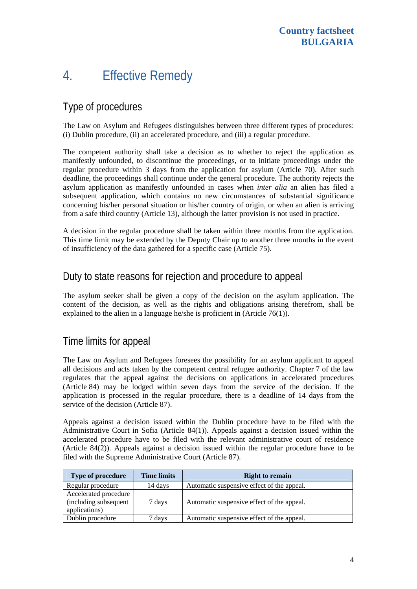# 4. Effective Remedy

## Type of procedures

The Law on Asylum and Refugees distinguishes between three different types of procedures: (i) Dublin procedure, (ii) an accelerated procedure, and (iii) a regular procedure.

The competent authority shall take a decision as to whether to reject the application as manifestly unfounded, to discontinue the proceedings, or to initiate proceedings under the regular procedure within 3 days from the application for asylum (Article 70). After such deadline, the proceedings shall continue under the general procedure. The authority rejects the asylum application as manifestly unfounded in cases when *inter alia* an alien has filed a subsequent application, which contains no new circumstances of substantial significance concerning his/her personal situation or his/her country of origin, or when an alien is arriving from a safe third country (Article 13), although the latter provision is not used in practice.

A decision in the regular procedure shall be taken within three months from the application. This time limit may be extended by the Deputy Chair up to another three months in the event of insufficiency of the data gathered for a specific case (Article 75).

#### Duty to state reasons for rejection and procedure to appeal

The asylum seeker shall be given a copy of the decision on the asylum application. The content of the decision, as well as the rights and obligations arising therefrom, shall be explained to the alien in a language he/she is proficient in (Article 76(1)).

### Time limits for appeal

The Law on Asylum and Refugees foresees the possibility for an asylum applicant to appeal all decisions and acts taken by the competent central refugee authority. Chapter 7 of the law regulates that the appeal against the decisions on applications in accelerated procedures (Article 84) may be lodged within seven days from the service of the decision. If the application is processed in the regular procedure, there is a deadline of 14 days from the service of the decision (Article 87).

Appeals against a decision issued within the Dublin procedure have to be filed with the Administrative Court in Sofia (Article 84(1)). Appeals against a decision issued within the accelerated procedure have to be filed with the relevant administrative court of residence (Article 84(2)). Appeals against a decision issued within the regular procedure have to be filed with the Supreme Administrative Court (Article 87).

| <b>Type of procedure</b>                                        | <b>Time limits</b> | <b>Right to remain</b>                     |
|-----------------------------------------------------------------|--------------------|--------------------------------------------|
| Regular procedure                                               | 14 days            | Automatic suspensive effect of the appeal. |
| Accelerated procedure<br>(including subsequent<br>applications) | 7 days             | Automatic suspensive effect of the appeal. |
| Dublin procedure                                                | days               | Automatic suspensive effect of the appeal. |